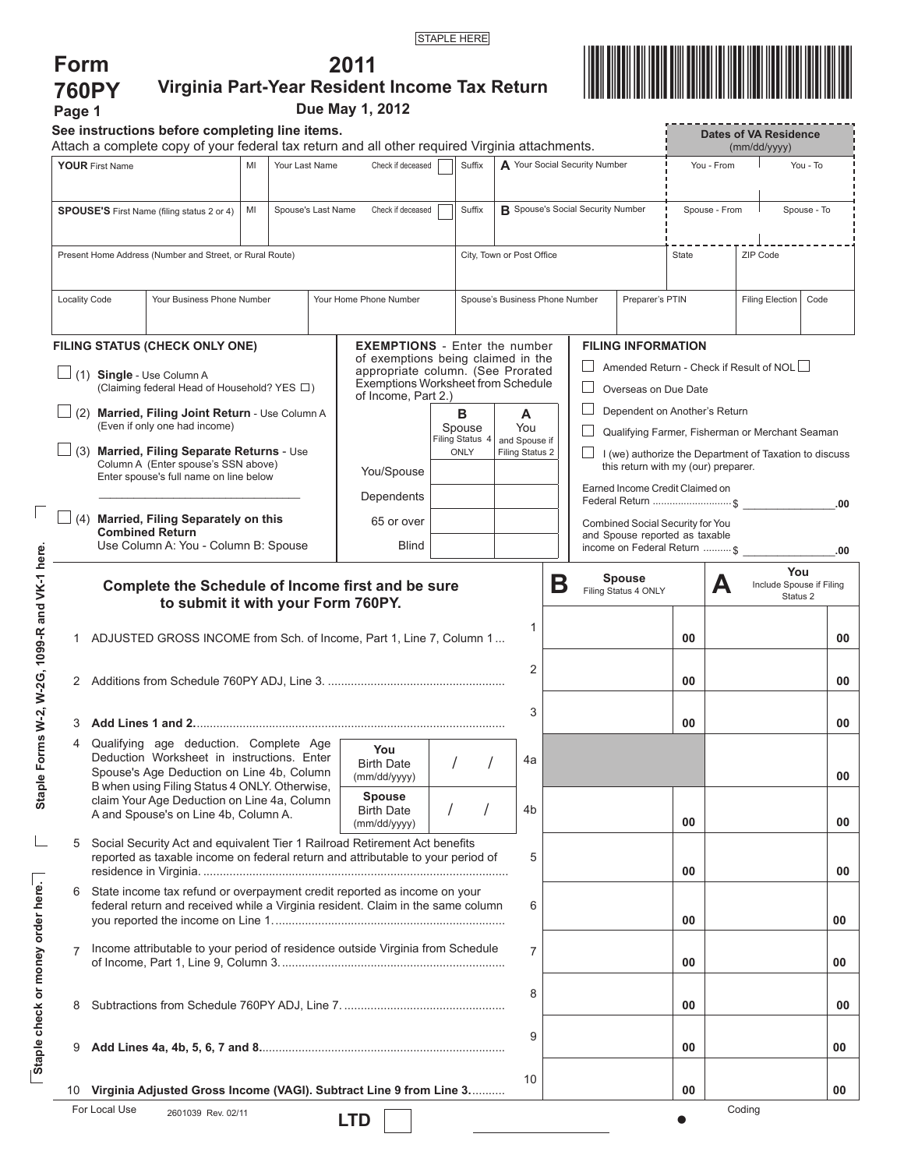**2011 Virginia Part-Year Resident Income Tax Return**



|                                                                                                                                                  |                                                                                                            | See instructions before completing line items.                                                                                                                |  |                             |                        |                                                                                                                                                                                     |                                   |                                                   |                           |                                                                                               |                                                                                  |                                                                                                    |                                                                                                     |      | <b>Dates of VA Residence</b> |          |  |
|--------------------------------------------------------------------------------------------------------------------------------------------------|------------------------------------------------------------------------------------------------------------|---------------------------------------------------------------------------------------------------------------------------------------------------------------|--|-----------------------------|------------------------|-------------------------------------------------------------------------------------------------------------------------------------------------------------------------------------|-----------------------------------|---------------------------------------------------|---------------------------|-----------------------------------------------------------------------------------------------|----------------------------------------------------------------------------------|----------------------------------------------------------------------------------------------------|-----------------------------------------------------------------------------------------------------|------|------------------------------|----------|--|
| Attach a complete copy of your federal tax return and all other required Virginia attachments.<br>Your Last Name<br><b>YOUR First Name</b><br>MI |                                                                                                            |                                                                                                                                                               |  | Check if deceased<br>Suffix |                        |                                                                                                                                                                                     | A Your Social Security Number     |                                                   |                           | (mm/dd/yyyy)<br>You - From<br>You - To                                                        |                                                                                  |                                                                                                    |                                                                                                     |      |                              |          |  |
|                                                                                                                                                  |                                                                                                            |                                                                                                                                                               |  |                             |                        |                                                                                                                                                                                     |                                   |                                                   |                           |                                                                                               |                                                                                  |                                                                                                    |                                                                                                     |      |                              |          |  |
| <b>SPOUSE'S</b> First Name (filing status 2 or 4)<br>MI<br>Spouse's Last Name                                                                    |                                                                                                            |                                                                                                                                                               |  | Check if deceased           |                        | Suffix                                                                                                                                                                              | R Spouse's Social Security Number |                                                   |                           |                                                                                               | Spouse - From<br>Spouse - To                                                     |                                                                                                    |                                                                                                     |      |                              |          |  |
|                                                                                                                                                  | Present Home Address (Number and Street, or Rural Route)                                                   |                                                                                                                                                               |  |                             |                        | City, Town or Post Office                                                                                                                                                           |                                   |                                                   |                           |                                                                                               | ZIP Code<br>State                                                                |                                                                                                    |                                                                                                     |      |                              |          |  |
|                                                                                                                                                  | Your Business Phone Number                                                                                 |                                                                                                                                                               |  |                             | Your Home Phone Number |                                                                                                                                                                                     |                                   | Spouse's Business Phone Number<br>Preparer's PTIN |                           |                                                                                               |                                                                                  |                                                                                                    | <b>Filing Election</b>                                                                              | Code |                              |          |  |
|                                                                                                                                                  | <b>Locality Code</b>                                                                                       |                                                                                                                                                               |  |                             |                        |                                                                                                                                                                                     |                                   |                                                   |                           |                                                                                               |                                                                                  |                                                                                                    |                                                                                                     |      |                              |          |  |
|                                                                                                                                                  | FILING STATUS (CHECK ONLY ONE)<br>(1) Single - Use Column A<br>(Claiming federal Head of Household? YES □) |                                                                                                                                                               |  |                             |                        | <b>EXEMPTIONS</b> - Enter the number<br>of exemptions being claimed in the<br>appropriate column. (See Prorated<br><b>Exemptions Worksheet from Schedule</b><br>of Income, Part 2.) |                                   |                                                   |                           |                                                                                               |                                                                                  |                                                                                                    | <b>FILING INFORMATION</b><br>Amended Return - Check if Result of NOL $\Box$<br>Overseas on Due Date |      |                              |          |  |
|                                                                                                                                                  | $\Box$ (2) Married, Filing Joint Return - Use Column A<br>(Even if only one had income)                    |                                                                                                                                                               |  |                             |                        | в<br>Spouse<br>Filing Status 4                                                                                                                                                      |                                   |                                                   | A<br>You<br>and Spouse if |                                                                                               | Dependent on Another's Return<br>Qualifying Farmer, Fisherman or Merchant Seaman |                                                                                                    |                                                                                                     |      |                              |          |  |
|                                                                                                                                                  |                                                                                                            | $\Box$ (3) Married, Filing Separate Returns - Use<br>Column A (Enter spouse's SSN above)<br>Enter spouse's full name on line below                            |  |                             |                        | You/Spouse                                                                                                                                                                          | ONLY                              |                                                   | Filing Status 2           | I (we) authorize the Department of Taxation to discuss<br>this return with my (our) preparer. |                                                                                  |                                                                                                    |                                                                                                     |      |                              |          |  |
|                                                                                                                                                  |                                                                                                            |                                                                                                                                                               |  |                             |                        | Dependents                                                                                                                                                                          |                                   |                                                   |                           |                                                                                               |                                                                                  | Earned Income Credit Claimed on                                                                    |                                                                                                     |      | Federal Return  \$           | .00      |  |
|                                                                                                                                                  |                                                                                                            | $\Box$ (4) Married, Filing Separately on this<br><b>Combined Return</b><br>Use Column A: You - Column B: Spouse                                               |  |                             |                        | 65 or over<br><b>Blind</b>                                                                                                                                                          |                                   |                                                   |                           |                                                                                               |                                                                                  | Combined Social Security for You<br>and Spouse reported as taxable<br>income on Federal Return  \$ |                                                                                                     |      |                              | .00      |  |
|                                                                                                                                                  |                                                                                                            | to submit it with your Form 760PY.                                                                                                                            |  |                             |                        | Complete the Schedule of Income first and be sure                                                                                                                                   |                                   |                                                   |                           | Β                                                                                             |                                                                                  | Filing Status 4 ONLY                                                                               |                                                                                                     | А    | Include Spouse if Filing     | Status 2 |  |
| 1                                                                                                                                                |                                                                                                            | ADJUSTED GROSS INCOME from Sch. of Income, Part 1, Line 7, Column 1                                                                                           |  |                             |                        |                                                                                                                                                                                     |                                   |                                                   | 1<br>2                    |                                                                                               |                                                                                  |                                                                                                    | 00                                                                                                  |      |                              | 00       |  |
|                                                                                                                                                  |                                                                                                            |                                                                                                                                                               |  |                             |                        |                                                                                                                                                                                     |                                   |                                                   |                           |                                                                                               |                                                                                  |                                                                                                    | 00                                                                                                  |      |                              | 00       |  |
|                                                                                                                                                  |                                                                                                            |                                                                                                                                                               |  |                             |                        |                                                                                                                                                                                     |                                   |                                                   | 3                         |                                                                                               |                                                                                  |                                                                                                    | 00                                                                                                  |      |                              | 00       |  |
|                                                                                                                                                  |                                                                                                            | Qualifying age deduction. Complete Age<br>Deduction Worksheet in instructions. Enter<br>Spouse's Age Deduction on Line 4b, Column                             |  |                             |                        | You<br><b>Birth Date</b><br>(mm/dd/yyyy)                                                                                                                                            |                                   |                                                   | 4a                        |                                                                                               |                                                                                  |                                                                                                    |                                                                                                     |      |                              | 00       |  |
|                                                                                                                                                  |                                                                                                            | B when using Filing Status 4 ONLY. Otherwise,<br>claim Your Age Deduction on Line 4a, Column<br>A and Spouse's on Line 4b, Column A.                          |  |                             |                        | Spouse<br><b>Birth Date</b><br>(mm/dd/yyyy)                                                                                                                                         |                                   |                                                   | 4b                        |                                                                                               |                                                                                  |                                                                                                    | 00                                                                                                  |      |                              | 00       |  |
| 5                                                                                                                                                |                                                                                                            | Social Security Act and equivalent Tier 1 Railroad Retirement Act benefits<br>reported as taxable income on federal return and attributable to your period of |  |                             |                        |                                                                                                                                                                                     |                                   |                                                   | 5                         |                                                                                               |                                                                                  |                                                                                                    | 00                                                                                                  |      |                              | 00       |  |
| 6                                                                                                                                                |                                                                                                            | State income tax refund or overpayment credit reported as income on your<br>federal return and received while a Virginia resident. Claim in the same column   |  |                             |                        |                                                                                                                                                                                     |                                   |                                                   | 6                         |                                                                                               |                                                                                  |                                                                                                    | 00                                                                                                  |      |                              | 00       |  |
|                                                                                                                                                  |                                                                                                            | Income attributable to your period of residence outside Virginia from Schedule                                                                                |  |                             |                        |                                                                                                                                                                                     |                                   |                                                   | $\overline{7}$            |                                                                                               |                                                                                  |                                                                                                    | 00                                                                                                  |      |                              | 00       |  |
| 8                                                                                                                                                |                                                                                                            |                                                                                                                                                               |  |                             |                        |                                                                                                                                                                                     |                                   |                                                   | 8                         |                                                                                               |                                                                                  |                                                                                                    | 00                                                                                                  |      |                              |          |  |
| 9                                                                                                                                                |                                                                                                            |                                                                                                                                                               |  |                             |                        |                                                                                                                                                                                     |                                   |                                                   | 9                         |                                                                                               |                                                                                  |                                                                                                    | 00                                                                                                  |      |                              | 00<br>00 |  |

 $\overline{\Gamma}$